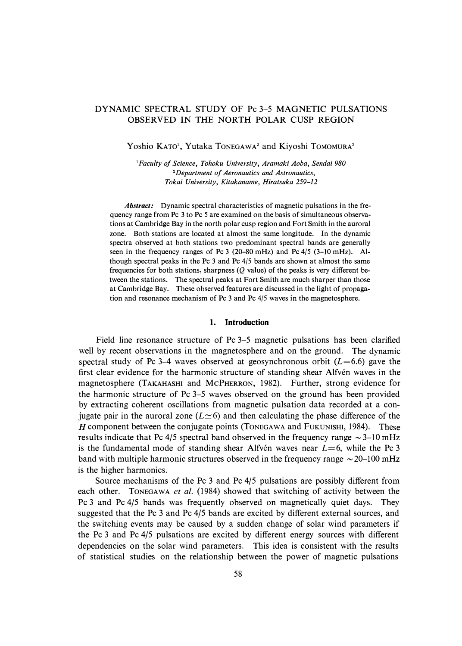# DYNAMIC SPECTRAL STUDY OF Pc 3-5 MAGNETIC PULSATIONS OBSERVED IN THE NORTH POLAR CUSP REGION

Yoshio KATO<sup>1</sup>, Yutaka TONEGAWA<sup>2</sup> and Kiyoshi TOMOMURA<sup>2</sup>

*<sup>1</sup>Faculty of Science, Tohoku University, Aramaki Aoba, Sendai 980*  **<sup>2</sup>***Department of Aeronautics and Astronautics, Tokai University, Kitakaname, Hiratsuka 259-12* 

*Abstract:* Dynamic spectral characteristics of magnetic pulsations in the frequency range from Pc 3 to Pc *5* are examined on the basis of simultaneous observations at Cambridge Bay in the north polar cusp region and Fort Smith in the auroral zone. Both stations are located at almost the same longitude. In the dynamic spectra observed at both stations two predominant spectral bands are generally seen in the frequency ranges of Pc 3 (20-80 mHz) and Pc 4/5 (3-10 mHz). Although spectral peaks in the Pc 3 and Pc 4/5 bands are shown at almost the same frequencies for both stations, sharpness  $(Q$  value) of the peaks is very different between the stations. The spectral peaks at Fort Smith are much sharper than those at Cambridge Bay. These observed features are discussed in the light of propagation and resonance mechanism of Pc 3 and Pc 4/5 waves in the magnetosphere.

### **1. Introduction**

Field line resonance structure of Pc 3-5 magnetic pulsations has been clarified well by recent observations in the magnetosphere and on the ground. The dynamic spectral study of Pc 3–4 waves observed at geosynchronous orbit  $(L=6.6)$  gave the first clear evidence for the harmonic structure of standing shear Alfvén waves in the magnetosphere (TAKAHASHI and McPHERRON, 1982). Further, strong evidence for the harmonic structure of Pc 3-5 waves observed on the ground has been provided by extracting coherent oscillations from magnetic pulsation data recorded at a conjugate pair in the auroral zone  $(L \simeq 6)$  and then calculating the phase difference of the *H* component between the conjugate points (TONEGAWA and FUKUNISHI, 1984). These results indicate that Pc  $4/5$  spectral band observed in the frequency range  $\sim$  3-10 mHz is the fundamental mode of standing shear Alfven waves near  $L=6$ , while the Pc 3 band with multiple harmonic structures observed in the frequency range  $\sim$  20–100 mHz is the higher harmonics.

Source mechanisms of the Pc  $3$  and Pc  $4/5$  pulsations are possibly different from each other. TONEGAWA *et al.* (1984) showed that switching of activity between the Pc 3 and Pc 4/5 bands was frequently observed on magnetically quiet days. They suggested that the Pc 3 and Pc 4/5 bands are excited by different external sources, and the switching events may be caused by a sudden change of solar wind parameters if the Pc 3 and Pc 4/5 pulsations are excited by different energy sources with different dependencies on the solar wind parameters. This idea is consistent with the results of statistical studies on the relationship between the power of magnetic pulsations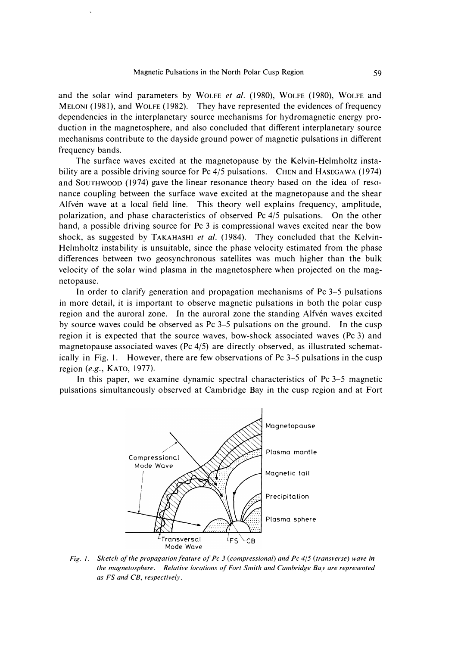and the solar wind parameters by WOLFE et al. (1980), WOLFE (1980), WOLFE and MELONI (1981), and WOLFE (1982). They have represented the evidences of frequency dependencies in the interplanetary source mechanisms for hydromagnetic energy production in the magnetosphere, and also concluded that different interplanetary source mechanisms contribute to the dayside ground power of magnetic pulsations in different frequency bands.

The surface waves excited at the magnetopause by the Kelvin-Helmholtz instability are a possible driving source for Pc 4/5 pulsations. CHEN and HASEGAWA (1974) and SOUTHWOOD ( 1974) gave the linear resonance theory based on the idea of resonance coupling between the surface wave excited at the magnetopause and the shear Alfvén wave at a local field line. This theory well explains frequency, amplitude, polarization, and phase characteristics of observed Pc 4/5 pulsations. On the other hand, a possible driving source for Pc 3 is compressional waves excited near the bow shock, as suggested by TAKAHASHI *et al.* ( 1984). They concluded that the Kelvin-Helmholtz instability is unsuitable, since the phase velocity estimated from the phase differences between two geosynchronous satellites was much higher than the bulk velocity of the solar wind plasma in the magnetosphere when projected on the magnetopause.

In order to clarify generation and propagation mechanisms of Pc **3-5** pulsations in more detail, it is important to observe magnetic pulsations in both the polar cusp region and the auroral zone. In the auroral zone the standing Alfven waves excited by source waves could be observed as Pc **3-5** pulsations on the ground. In the cusp region it is expected that the source waves, bow-shock associated waves (Pc 3) and magnetopause associated waves (Pc 4/5) are directly observed, as illustrated schematically in Fig. **I.** However, there are few observations of Pc **3-5** pulsations in the cusp region *(e.g.,* KATO, 1977).

In this paper, we examine dynamic spectral characteristics of Pc **3-5** magnetic pulsations simultaneously observed at Cambridge Bay in the cusp region and at Fort



*Fig. I. Sketch of the propagation feature of Pc 3 (compressional) and Pc 4/5 (transverse) wave in the magnetosphere. Relative locations of Fort Smith and Cambridge Bay are represented as FS and CB, respectively.*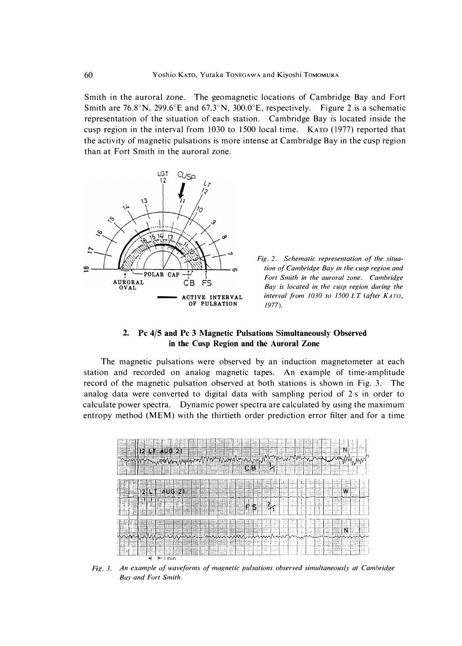Smith in the auroral zone. The geomagnetic locations of Cambridge Bay and Fort Smith are 76.8°N, 299.6°E and 67.3°N, 300.0°E, respectively. Figure 2 is a schematic representation of the situation of each station. Cambridge Bay is located inside the cusp region in the interval from  $1030$  to  $1500$  local time. KATO  $(1977)$  reported that the activity of magnetic pulsations is more intense at Cambridge Bay in the cusp region than at Fort Smith in the auroral zone.





## **2. Pc 4/5 and Pc 3 Magnetic Pulsations Simultaneously Observed in the Cusp Region and the Auroral Zone**

The magnetic pulsations were observed by an induction magnetometer at each station and recorded on analog magnetic tapes. An example of time-amplitude record of the magnetic pulsation observed at both stations is shown in Fig. 3. The analog data were converted to digital data with sampling period of 2 s in order to calculate power spectra. Dynamic power spectra are calculated by using the maximum entropy method (MEM) with the thirtieth order prediction error filter and for a time



*Fig. 3. An example of waveforms of magnetic pulsations observed simultaneously at Cambridge Bay and Fort Smith.*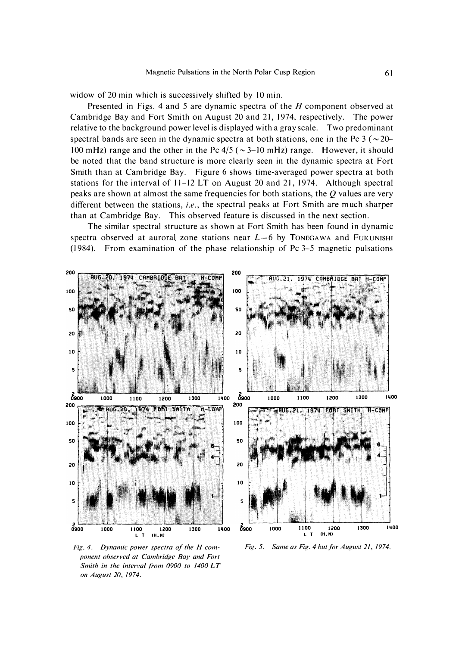widow of 20 min which is successively shifted by 10 min.

Presented in Figs. 4 and 5 are dynamic spectra of the *H* component observed at Cambridge Bay and Fort Smith on August 20 and 21, 1974, respectively. The power relative to the background power level is displayed with a gray scale. Two predominant spectral bands are seen in the dynamic spectra at both stations, one in the Pc 3 ( $\sim$  20-100 mHz) range and the other in the Pc  $4/5$  ( $\sim$  3-10 mHz) range. However, it should be noted that the band structure is more clearly seen in the dynamic spectra at Fort Smith than at Cambridge Bay. Figure 6 shows time-averaged power spectra at both stations for the interval of 11-12 LT on August 20 and 21, 1974. Although spectral peaks are shown at almost the same frequencies for both stations, the *Q* values are very different between the stations, *i.e.*, the spectral peaks at Fort Smith are much sharper than at Cambridge Bay. This observed feature is discussed in the next section.

The similar spectral structure as shown at Fort Smith has been found in dynamic spectra observed at auroral zone stations near  $L=6$  by Tonegawa and Fukunishr (1984). From examination of the phase relationship of Pc 3-5 magnetic pulsations



*Fig. 4. Dynamic power spectra of the H component observed at Cambridge Bay and Fort Smith in the interval from 0900 to 1400 LT on August 20, /974.* 

*Fig.* 5. *Same as Fig. 4 but for August 21, 1974.*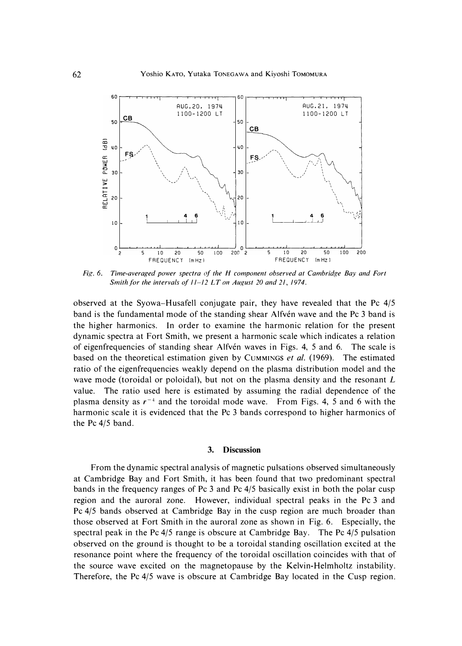

*Fig. 6. Time-averaged power spectra of the H component observed at Cambridge Bay and Fort Smith for the intervals of 11-12 LT on August 20 and 21, 1974.* 

**observed at the Syowa-Husafell conjugate pair, they have revealed that the Pc 4/5**  band is the fundamental mode of the standing shear Alfvén wave and the Pc 3 band is **the higher harmonics. In order to examine the harmonic relation for the present dynamic spectra at Fort Smith, we present a harmonic scale which indicates a relation**  of eigenfrequencies of standing shear Alfvén waves in Figs. 4, 5 and 6. The scale is **based on the theoretical estimation given by CUMMINGS** *et al.* **( 1969). The estimated ratio of the eigenfrequencies weakly depend on the plasma distribution model and the wave mode (toroidal or poloidal), but not on the plasma density and the resonant** *L*  **value. The ratio used here is estimated by assuming the radial dependence of the plasma density as**  $r^{-4}$  **and the toroidal mode wave.** From Figs. 4, 5 and 6 with the **harmonic scale it is evidenced that the Pc 3 bands correspond to higher harmonics of the Pc 4/5 band.** 

## **3. Discussion**

**From the dynamic spectral analysis of magnetic pulsations observed simultaneously at Cambridge Bay and Fort Smith, it has been found that two predominant spectral bands in the frequency ranges of Pc 3 and Pc 4/5 basically exist in both the polar cusp region and the auroral zone. However, individual spectral peaks in the Pc 3 and Pc 4/5 bands observed at Cambridge Bay in the cusp region are much broader than those observed at Fort Smith in the auroral zone as shown in Fig. 6. Especially, the spectral peak in the Pc 4/5 range is obscure at Cambridge Bay. The Pc 4/5 pulsation observed on the ground is thought to be a toroidal standing oscillation excited at the resonance point where the frequency of the toroidal oscillation coincides with that of the source wave excited on the magnetopause by the Kelvin-Helmholtz instability. Therefore, the Pc 4/5 wave is obscure at Cambridge Bay located in the Cusp region.**